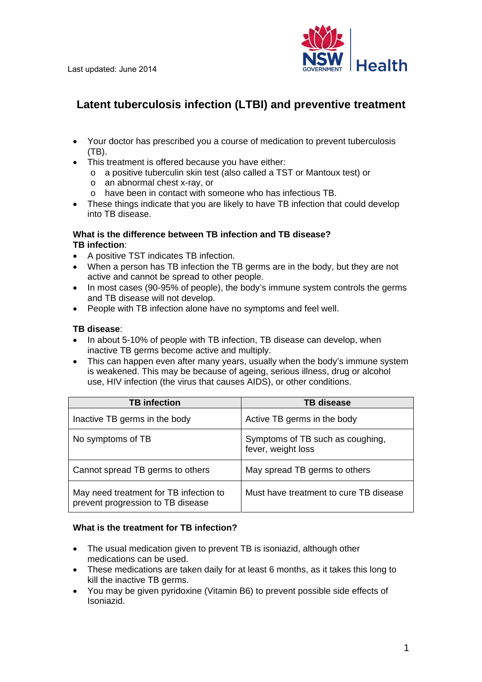

# **Latent tuberculosis infection (LTBI) and preventive treatment**

- Your doctor has prescribed you a course of medication to prevent tuberculosis (TB).
- This treatment is offered because you have either:
	- o a positive tuberculin skin test (also called a TST or Mantoux test) or
	- o an abnormal chest x-ray, or
	- o have been in contact with someone who has infectious TB.
- These things indicate that you are likely to have TB infection that could develop into TB disease.

## **What is the difference between TB infection and TB disease? TB infection**:

- A positive TST indicates TB infection.
- When a person has TB infection the TB germs are in the body, but they are not active and cannot be spread to other people.
- In most cases (90-95% of people), the body's immune system controls the germs and TB disease will not develop.
- People with TB infection alone have no symptoms and feel well.

#### **TB disease**:

- In about 5-10% of people with TB infection, TB disease can develop, when inactive TB germs become active and multiply.
- This can happen even after many years, usually when the body's immune system is weakened. This may be because of ageing, serious illness, drug or alcohol use, HIV infection (the virus that causes AIDS), or other conditions.

| <b>TB</b> infection                                                         | <b>TB disease</b>                                      |
|-----------------------------------------------------------------------------|--------------------------------------------------------|
| Inactive TB germs in the body                                               | Active TB germs in the body                            |
| No symptoms of TB                                                           | Symptoms of TB such as coughing,<br>fever, weight loss |
| Cannot spread TB germs to others                                            | May spread TB germs to others                          |
| May need treatment for TB infection to<br>prevent progression to TB disease | Must have treatment to cure TB disease                 |

## **What is the treatment for TB infection?**

- The usual medication given to prevent TB is isoniazid, although other medications can be used.
- These medications are taken daily for at least 6 months, as it takes this long to kill the inactive TB germs.
- You may be given pyridoxine (Vitamin B6) to prevent possible side effects of Isoniazid.